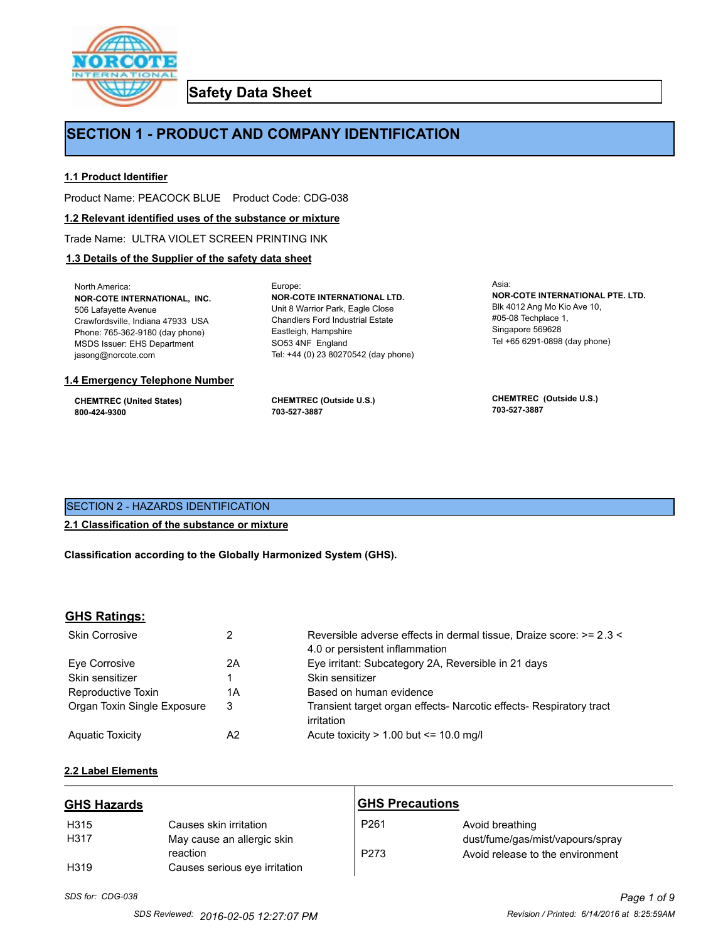

**Safety Data Sheet**

# **SECTION 1 - PRODUCT AND COMPANY IDENTIFICATION**

Europe:

# **1.1 Product Identifier**

Product Name: PEACOCK BLUE Product Code: CDG-038

# **1.2 Relevant identified uses of the substance or mixture**

Trade Name: ULTRA VIOLET SCREEN PRINTING INK

# **1.3 Details of the Supplier of the safety data sheet**

North America: **NOR-COTE INTERNATIONAL, INC.** 506 Lafayette Avenue Crawfordsville, Indiana 47933 USA Phone: 765-362-9180 (day phone) MSDS Issuer: EHS Department jasong@norcote.com

### **1.4 Emergency Telephone Number**

**CHEMTREC (United States) 800-424-9300**

**CHEMTREC (Outside U.S.) 703-527-3887**

Eastleigh, Hampshire SO53 4NF England

**NOR-COTE INTERNATIONAL LTD.** Unit 8 Warrior Park, Eagle Close Chandlers Ford Industrial Estate

Tel: +44 (0) 23 80270542 (day phone)

Asia: **NOR-COTE INTERNATIONAL PTE. LTD.** Blk 4012 Ang Mo Kio Ave 10, #05-08 Techplace 1, Singapore 569628 Tel +65 6291-0898 (day phone)

**CHEMTREC (Outside U.S.) 703-527-3887**

# SECTION 2 - HAZARDS IDENTIFICATION

# **2.1 Classification of the substance or mixture**

**Classification according to the Globally Harmonized System (GHS).**

# **GHS Ratings:**

| <b>Skin Corrosive</b>       |    | Reversible adverse effects in dermal tissue, Draize score: >= 2.3 < |
|-----------------------------|----|---------------------------------------------------------------------|
|                             |    | 4.0 or persistent inflammation                                      |
| Eve Corrosive               | 2Α | Eye irritant: Subcategory 2A, Reversible in 21 days                 |
| Skin sensitizer             |    | Skin sensitizer                                                     |
| Reproductive Toxin          | 1Α | Based on human evidence                                             |
| Organ Toxin Single Exposure | 3  | Transient target organ effects- Narcotic effects- Respiratory tract |
|                             |    | irritation                                                          |
| <b>Aquatic Toxicity</b>     | A2 | Acute toxicity $> 1.00$ but $\leq 10.0$ mg/l                        |

# **2.2 Label Elements**

| <b>GHS Hazards</b> |                               | <b>GHS Precautions</b> |                                  |
|--------------------|-------------------------------|------------------------|----------------------------------|
| H <sub>315</sub>   | Causes skin irritation        | P <sub>261</sub>       | Avoid breathing                  |
| H <sub>3</sub> 17  | May cause an allergic skin    |                        | dust/fume/gas/mist/vapours/spray |
|                    | reaction                      | P273                   | Avoid release to the environment |
| H <sub>319</sub>   | Causes serious eye irritation |                        |                                  |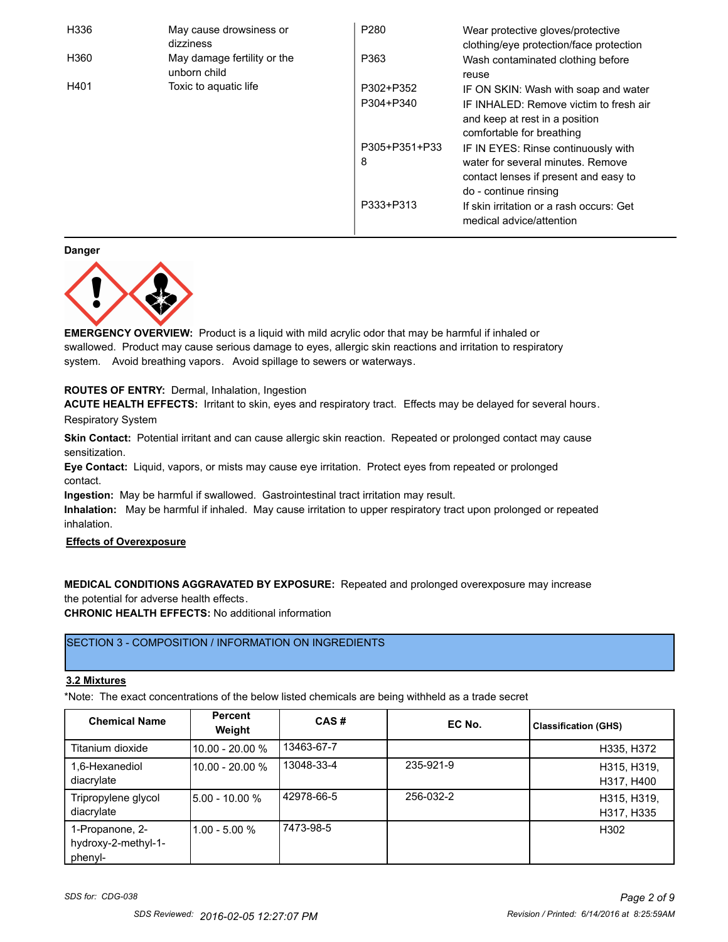| H336 | May cause drowsiness or<br>dizziness        | P <sub>280</sub>   | Wear protective gloves/protective<br>clothing/eye protection/face protection                                                               |
|------|---------------------------------------------|--------------------|--------------------------------------------------------------------------------------------------------------------------------------------|
| H360 | May damage fertility or the<br>unborn child | P363               | Wash contaminated clothing before<br>reuse                                                                                                 |
| H401 | Toxic to aguatic life                       | P302+P352          | IF ON SKIN: Wash with soap and water                                                                                                       |
|      |                                             | P304+P340          | IF INHALED: Remove victim to fresh air<br>and keep at rest in a position<br>comfortable for breathing                                      |
|      |                                             | P305+P351+P33<br>8 | IF IN EYES: Rinse continuously with<br>water for several minutes. Remove<br>contact lenses if present and easy to<br>do - continue rinsing |
|      |                                             | P333+P313          | If skin irritation or a rash occurs: Get<br>medical advice/attention                                                                       |

**Danger**



**EMERGENCY OVERVIEW:** Product is a liquid with mild acrylic odor that may be harmful if inhaled or swallowed. Product may cause serious damage to eyes, allergic skin reactions and irritation to respiratory system. Avoid breathing vapors. Avoid spillage to sewers or waterways.

# **ROUTES OF ENTRY:** Dermal, Inhalation, Ingestion

**ACUTE HEALTH EFFECTS:** Irritant to skin, eyes and respiratory tract. Effects may be delayed for several hours.

Respiratory System

**Skin Contact:** Potential irritant and can cause allergic skin reaction. Repeated or prolonged contact may cause sensitization.

**Eye Contact:** Liquid, vapors, or mists may cause eye irritation. Protect eyes from repeated or prolonged contact.

**Ingestion:** May be harmful if swallowed. Gastrointestinal tract irritation may result.

**Inhalation:** May be harmful if inhaled. May cause irritation to upper respiratory tract upon prolonged or repeated inhalation.

# **Effects of Overexposure**

**MEDICAL CONDITIONS AGGRAVATED BY EXPOSURE:** Repeated and prolonged overexposure may increase the potential for adverse health effects.

**CHRONIC HEALTH EFFECTS:** No additional information

# SECTION 3 - COMPOSITION / INFORMATION ON INGREDIENTS

# **3.2 Mixtures**

\*Note: The exact concentrations of the below listed chemicals are being withheld as a trade secret

| <b>Chemical Name</b>                              | <b>Percent</b><br>Weight | CAS#       | EC No.    | <b>Classification (GHS)</b> |
|---------------------------------------------------|--------------------------|------------|-----------|-----------------------------|
| Titanium dioxide                                  | 10.00 - 20.00 %          | 13463-67-7 |           | H335, H372                  |
| 1,6-Hexanediol<br>diacrylate                      | 10.00 - 20.00 %          | 13048-33-4 | 235-921-9 | H315, H319,<br>H317, H400   |
| Tripropylene glycol<br>diacrylate                 | $15.00 - 10.00 %$        | 42978-66-5 | 256-032-2 | H315, H319,<br>H317, H335   |
| 1-Propanone, 2-<br>hydroxy-2-methyl-1-<br>phenyl- | $1.00 - 5.00 %$          | 7473-98-5  |           | H302                        |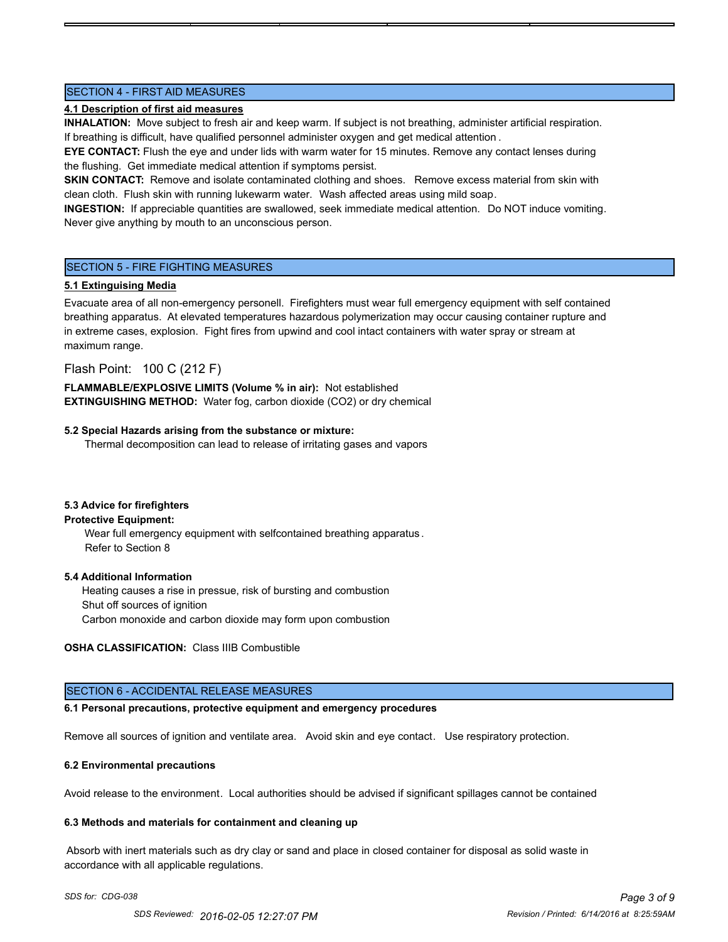# SECTION 4 - FIRST AID MEASURES

# **4.1 Description of first aid measures**

**INHALATION:** Move subject to fresh air and keep warm. If subject is not breathing, administer artificial respiration. If breathing is difficult, have qualified personnel administer oxygen and get medical attention .

**EYE CONTACT:** Flush the eye and under lids with warm water for 15 minutes. Remove any contact lenses during the flushing. Get immediate medical attention if symptoms persist.

**SKIN CONTACT:** Remove and isolate contaminated clothing and shoes. Remove excess material from skin with clean cloth. Flush skin with running lukewarm water. Wash affected areas using mild soap.

**INGESTION:** If appreciable quantities are swallowed, seek immediate medical attention. Do NOT induce vomiting. Never give anything by mouth to an unconscious person.

# SECTION 5 - FIRE FIGHTING MEASURES

# **5.1 Extinguising Media**

Evacuate area of all non-emergency personell. Firefighters must wear full emergency equipment with self contained breathing apparatus. At elevated temperatures hazardous polymerization may occur causing container rupture and in extreme cases, explosion. Fight fires from upwind and cool intact containers with water spray or stream at maximum range.

Flash Point: 100 C (212 F)

**FLAMMABLE/EXPLOSIVE LIMITS (Volume % in air):** Not established **EXTINGUISHING METHOD:** Water fog, carbon dioxide (CO2) or dry chemical

# **5.2 Special Hazards arising from the substance or mixture:**

Thermal decomposition can lead to release of irritating gases and vapors

# **5.3 Advice for firefighters**

# **Protective Equipment:**

Wear full emergency equipment with selfcontained breathing apparatus . Refer to Section 8

# **5.4 Additional Information**

 Heating causes a rise in pressue, risk of bursting and combustion Shut off sources of ignition Carbon monoxide and carbon dioxide may form upon combustion

**OSHA CLASSIFICATION:** Class IIIB Combustible

# SECTION 6 - ACCIDENTAL RELEASE MEASURES

# **6.1 Personal precautions, protective equipment and emergency procedures**

Remove all sources of ignition and ventilate area. Avoid skin and eye contact. Use respiratory protection.

# **6.2 Environmental precautions**

Avoid release to the environment. Local authorities should be advised if significant spillages cannot be contained

# **6.3 Methods and materials for containment and cleaning up**

 Absorb with inert materials such as dry clay or sand and place in closed container for disposal as solid waste in accordance with all applicable regulations.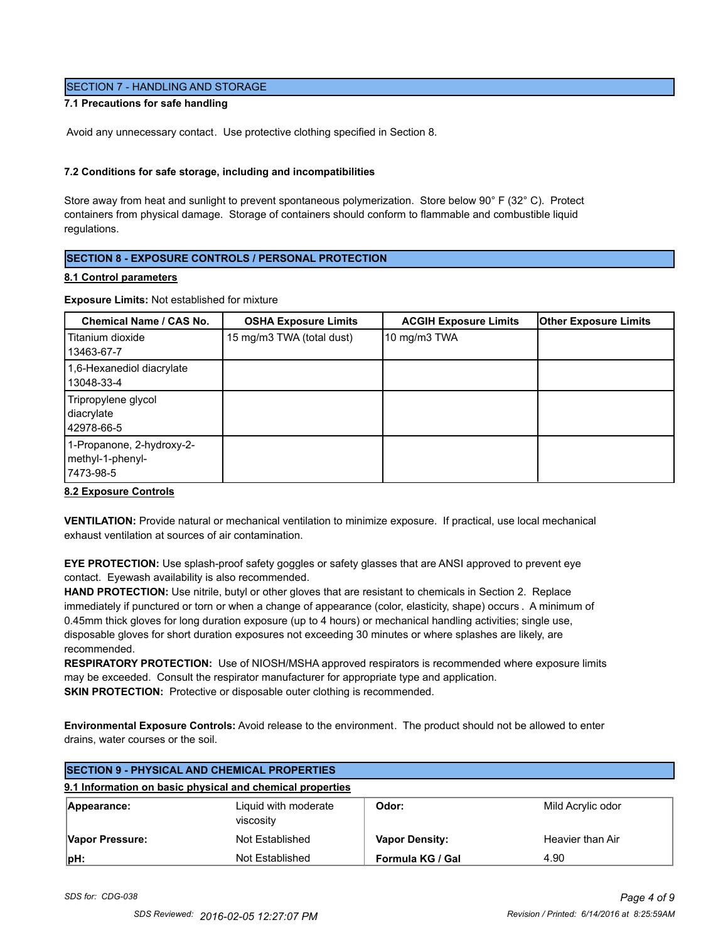# SECTION 7 - HANDLING AND STORAGE

# **7.1 Precautions for safe handling**

Avoid any unnecessary contact. Use protective clothing specified in Section 8.

### **7.2 Conditions for safe storage, including and incompatibilities**

Store away from heat and sunlight to prevent spontaneous polymerization. Store below 90° F (32° C). Protect containers from physical damage. Storage of containers should conform to flammable and combustible liquid regulations.

# **SECTION 8 - EXPOSURE CONTROLS / PERSONAL PROTECTION**

#### **8.1 Control parameters**

### **Exposure Limits:** Not established for mixture

| Chemical Name / CAS No.                                    | <b>OSHA Exposure Limits</b> | <b>ACGIH Exposure Limits</b> | <b>Other Exposure Limits</b> |
|------------------------------------------------------------|-----------------------------|------------------------------|------------------------------|
| Titanium dioxide<br>13463-67-7                             | 15 mg/m3 TWA (total dust)   | 10 mg/m3 TWA                 |                              |
| 1,6-Hexanediol diacrylate<br>13048-33-4                    |                             |                              |                              |
| Tripropylene glycol<br>diacrylate<br>42978-66-5            |                             |                              |                              |
| 1-Propanone, 2-hydroxy-2-<br>methyl-1-phenyl-<br>7473-98-5 |                             |                              |                              |

#### **8.2 Exposure Controls**

**VENTILATION:** Provide natural or mechanical ventilation to minimize exposure. If practical, use local mechanical exhaust ventilation at sources of air contamination.

**EYE PROTECTION:** Use splash-proof safety goggles or safety glasses that are ANSI approved to prevent eye contact. Eyewash availability is also recommended.

**HAND PROTECTION:** Use nitrile, butyl or other gloves that are resistant to chemicals in Section 2. Replace immediately if punctured or torn or when a change of appearance (color, elasticity, shape) occurs . A minimum of 0.45mm thick gloves for long duration exposure (up to 4 hours) or mechanical handling activities; single use, disposable gloves for short duration exposures not exceeding 30 minutes or where splashes are likely, are recommended.

**RESPIRATORY PROTECTION:** Use of NIOSH/MSHA approved respirators is recommended where exposure limits may be exceeded. Consult the respirator manufacturer for appropriate type and application. **SKIN PROTECTION:** Protective or disposable outer clothing is recommended.

**Environmental Exposure Controls:** Avoid release to the environment. The product should not be allowed to enter drains, water courses or the soil.

| <b>SECTION 9 - PHYSICAL AND CHEMICAL PROPERTIES</b> |                                                           |                       |                   |
|-----------------------------------------------------|-----------------------------------------------------------|-----------------------|-------------------|
|                                                     | 9.1 Information on basic physical and chemical properties |                       |                   |
| Appearance:                                         | Liguid with moderate<br>viscosity                         | Odor:                 | Mild Acrylic odor |
| Vapor Pressure:                                     | Not Established                                           | <b>Vapor Density:</b> | Heavier than Air  |
| pH:                                                 | Not Established                                           | Formula KG / Gal      | 4.90              |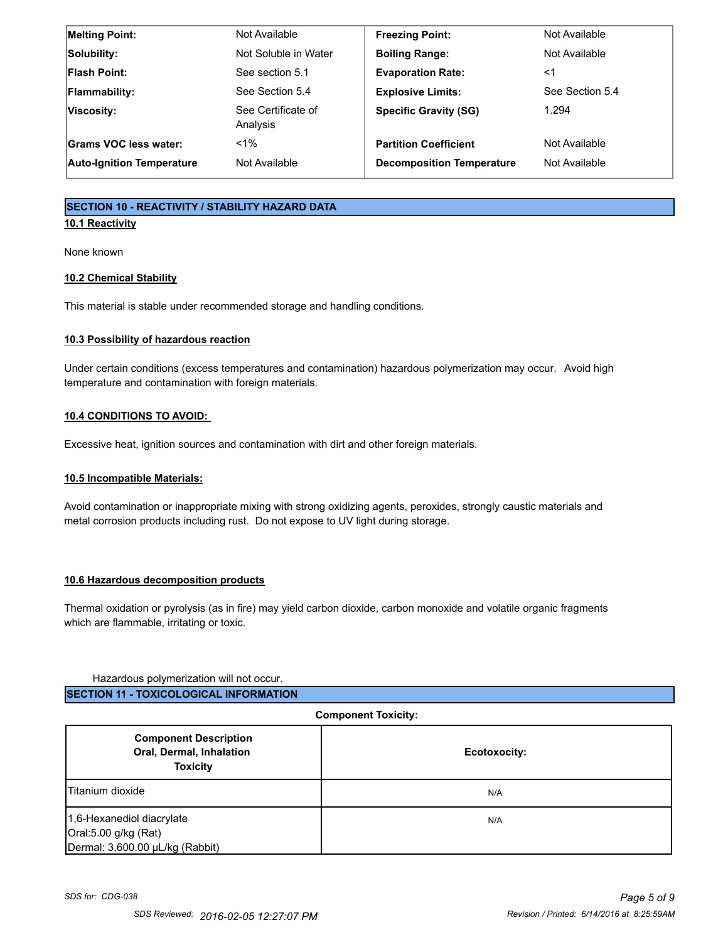| <b>Melting Point:</b>            | Not Available                  | <b>Freezing Point:</b>           | Not Available   |
|----------------------------------|--------------------------------|----------------------------------|-----------------|
| Solubility:                      | Not Soluble in Water           | <b>Boiling Range:</b>            | Not Available   |
| <b>Flash Point:</b>              | See section 5.1                | <b>Evaporation Rate:</b>         | <1              |
| <b>Flammability:</b>             | See Section 5.4                | <b>Explosive Limits:</b>         | See Section 5.4 |
| Viscosity:                       | See Certificate of<br>Analysis | <b>Specific Gravity (SG)</b>     | 1.294           |
| Grams VOC less water:            | $1\%$                          | <b>Partition Coefficient</b>     | Not Available   |
| <b>Auto-Ignition Temperature</b> | Not Available                  | <b>Decomposition Temperature</b> | Not Available   |

# **SECTION 10 - REACTIVITY / STABILITY HAZARD DATA**

# **10.1 Reactivity**

None known

# **10.2 Chemical Stability**

This material is stable under recommended storage and handling conditions.

# **10.3 Possibility of hazardous reaction**

Under certain conditions (excess temperatures and contamination) hazardous polymerization may occur. Avoid high temperature and contamination with foreign materials.

# **10.4 CONDITIONS TO AVOID:**

Excessive heat, ignition sources and contamination with dirt and other foreign materials.

# **10.5 Incompatible Materials:**

Avoid contamination or inappropriate mixing with strong oxidizing agents, peroxides, strongly caustic materials and metal corrosion products including rust. Do not expose to UV light during storage.

# **10.6 Hazardous decomposition products**

Thermal oxidation or pyrolysis (as in fire) may yield carbon dioxide, carbon monoxide and volatile organic fragments which are flammable, irritating or toxic.

# Hazardous polymerization will not occur.

# **SECTION 11 - TOXICOLOGICAL INFORMATION**

| <b>Component Toxicity:</b>                                                           |              |
|--------------------------------------------------------------------------------------|--------------|
| <b>Component Description</b><br>Oral, Dermal, Inhalation<br><b>Toxicity</b>          | Ecotoxocity: |
| Titanium dioxide                                                                     | N/A          |
| 1,6-Hexanediol diacrylate<br>Oral:5.00 g/kg (Rat)<br>Dermal: 3,600.00 µL/kg (Rabbit) | N/A          |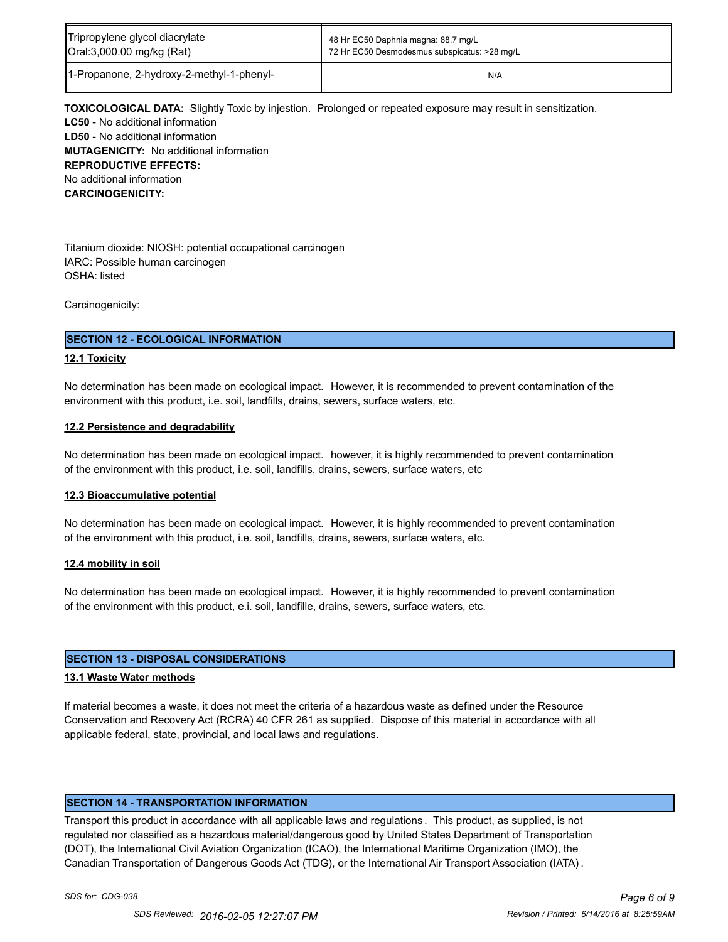| Tripropylene glycol diacrylate            | 48 Hr EC50 Daphnia magna: 88.7 mg/L          |
|-------------------------------------------|----------------------------------------------|
| Oral:3,000.00 mg/kg (Rat)                 | 72 Hr EC50 Desmodesmus subspicatus: >28 mg/L |
| 1-Propanone, 2-hydroxy-2-methyl-1-phenyl- | N/A                                          |

**TOXICOLOGICAL DATA:** Slightly Toxic by injestion. Prolonged or repeated exposure may result in sensitization. **LC50** - No additional information **LD50** - No additional information **MUTAGENICITY:** No additional information **REPRODUCTIVE EFFECTS:** No additional information **CARCINOGENICITY:**

Titanium dioxide: NIOSH: potential occupational carcinogen IARC: Possible human carcinogen OSHA: listed

Carcinogenicity:

# **SECTION 12 - ECOLOGICAL INFORMATION**

# **12.1 Toxicity**

No determination has been made on ecological impact. However, it is recommended to prevent contamination of the environment with this product, i.e. soil, landfills, drains, sewers, surface waters, etc.

# **12.2 Persistence and degradability**

No determination has been made on ecological impact. however, it is highly recommended to prevent contamination of the environment with this product, i.e. soil, landfills, drains, sewers, surface waters, etc

# **12.3 Bioaccumulative potential**

No determination has been made on ecological impact. However, it is highly recommended to prevent contamination of the environment with this product, i.e. soil, landfills, drains, sewers, surface waters, etc.

# **12.4 mobility in soil**

No determination has been made on ecological impact. However, it is highly recommended to prevent contamination of the environment with this product, e.i. soil, landfille, drains, sewers, surface waters, etc.

# **SECTION 13 - DISPOSAL CONSIDERATIONS**

# **13.1 Waste Water methods**

If material becomes a waste, it does not meet the criteria of a hazardous waste as defined under the Resource Conservation and Recovery Act (RCRA) 40 CFR 261 as supplied. Dispose of this material in accordance with all applicable federal, state, provincial, and local laws and regulations.

# **SECTION 14 - TRANSPORTATION INFORMATION**

Transport this product in accordance with all applicable laws and regulations . This product, as supplied, is not regulated nor classified as a hazardous material/dangerous good by United States Department of Transportation (DOT), the International Civil Aviation Organization (ICAO), the International Maritime Organization (IMO), the Canadian Transportation of Dangerous Goods Act (TDG), or the International Air Transport Association (IATA) .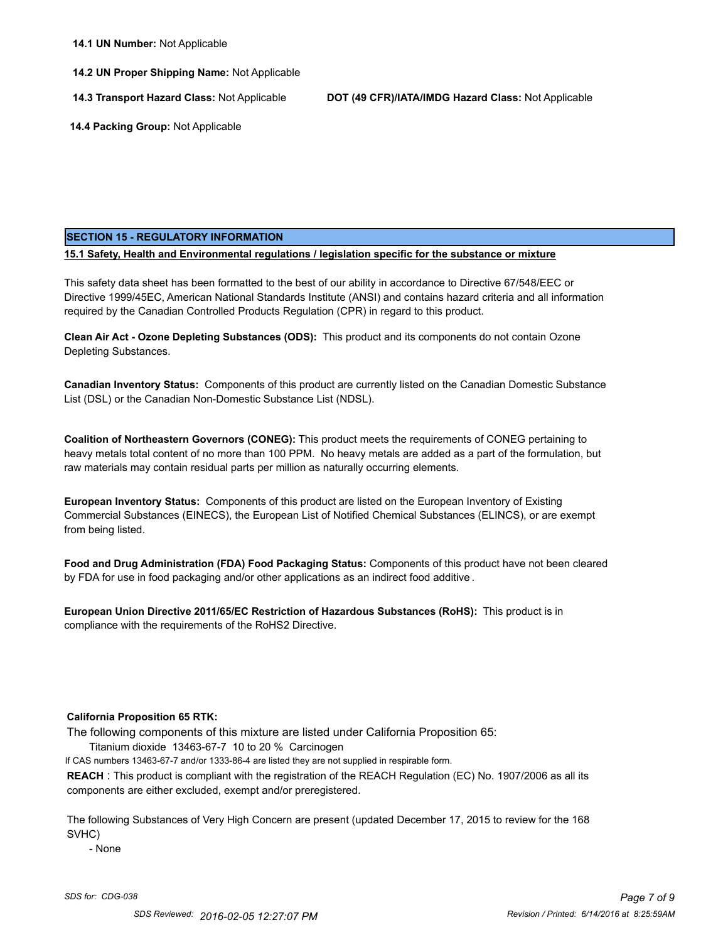# **14.2 UN Proper Shipping Name:** Not Applicable

**14.3 Transport Hazard Class:** Not Applicable **DOT (49 CFR)/IATA/IMDG Hazard Class:** Not Applicable

 **14.4 Packing Group:** Not Applicable

# **SECTION 15 - REGULATORY INFORMATION**

**15.1 Safety, Health and Environmental regulations / legislation specific for the substance or mixture**

This safety data sheet has been formatted to the best of our ability in accordance to Directive 67/548/EEC or Directive 1999/45EC, American National Standards Institute (ANSI) and contains hazard criteria and all information required by the Canadian Controlled Products Regulation (CPR) in regard to this product.

**Clean Air Act - Ozone Depleting Substances (ODS):** This product and its components do not contain Ozone Depleting Substances.

**Canadian Inventory Status:** Components of this product are currently listed on the Canadian Domestic Substance List (DSL) or the Canadian Non-Domestic Substance List (NDSL).

**Coalition of Northeastern Governors (CONEG):** This product meets the requirements of CONEG pertaining to heavy metals total content of no more than 100 PPM. No heavy metals are added as a part of the formulation, but raw materials may contain residual parts per million as naturally occurring elements.

**European Inventory Status:** Components of this product are listed on the European Inventory of Existing Commercial Substances (EINECS), the European List of Notified Chemical Substances (ELINCS), or are exempt from being listed.

**Food and Drug Administration (FDA) Food Packaging Status:** Components of this product have not been cleared by FDA for use in food packaging and/or other applications as an indirect food additive .

**European Union Directive 2011/65/EC Restriction of Hazardous Substances (RoHS):** This product is in compliance with the requirements of the RoHS2 Directive.

# **California Proposition 65 RTK:**

The following components of this mixture are listed under California Proposition 65:

Titanium dioxide 13463-67-7 10 to 20 % Carcinogen

If CAS numbers 13463-67-7 and/or 1333-86-4 are listed they are not supplied in respirable form.

**REACH** : This product is compliant with the registration of the REACH Regulation (EC) No. 1907/2006 as all its components are either excluded, exempt and/or preregistered.

The following Substances of Very High Concern are present (updated December 17, 2015 to review for the 168 SVHC)

- None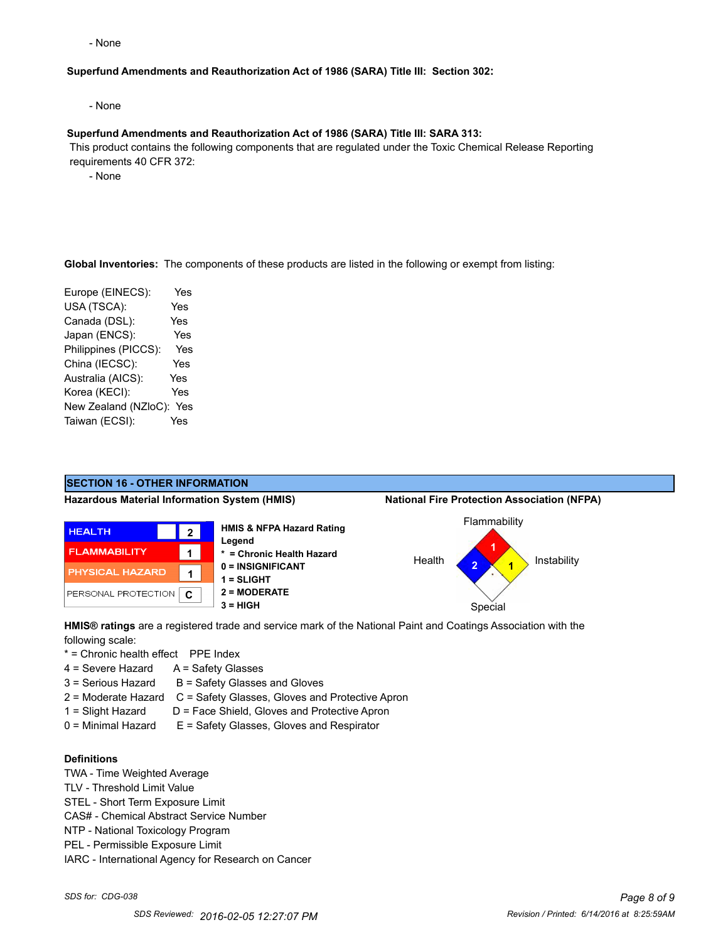- None

### **Superfund Amendments and Reauthorization Act of 1986 (SARA) Title III: Section 302:**

- None

### **Superfund Amendments and Reauthorization Act of 1986 (SARA) Title III: SARA 313:**

 This product contains the following components that are regulated under the Toxic Chemical Release Reporting requirements 40 CFR 372:

- None

### **Global Inventories:** The components of these products are listed in the following or exempt from listing:

| Europe (EINECS):     | Yes |
|----------------------|-----|
| USA (TSCA):          | Yes |
| Canada (DSL):        | Yes |
| Japan (ENCS):        | Yes |
| Philippines (PICCS): | Yes |
| China (IECSC):       | Yes |
| Australia (AICS):    | Yes |
| Korea (KECI):        | Yes |
| New Zealand (NZloC): | Yes |
| Taiwan (ECSI):       | Yes |

# **SECTION 16 - OTHER INFORMATION**

**Hazardous Material Information System (HMIS) National Fire Protection Association (NFPA)**



**\* = Chronic Health Hazard 0 = INSIGNIFICANT 2 = MODERATE 3 = HIGH** Special





**HMIS® ratings** are a registered trade and service mark of the National Paint and Coatings Association with the following scale:

- \* = Chronic health effect PPE Index
- 4 = Severe Hazard A = Safety Glasses
- $3 =$  Serious Hazard  $B =$  Safety Glasses and Gloves
- 2 = Moderate Hazard C = Safety Glasses, Gloves and Protective Apron
- 1 = Slight Hazard D = Face Shield, Gloves and Protective Apron
- 0 = Minimal Hazard E = Safety Glasses, Gloves and Respirator

# **Definitions**

- TWA Time Weighted Average
- TLV Threshold Limit Value
- STEL Short Term Exposure Limit
- CAS# Chemical Abstract Service Number
- NTP National Toxicology Program
- PEL Permissible Exposure Limit
- IARC International Agency for Research on Cancer